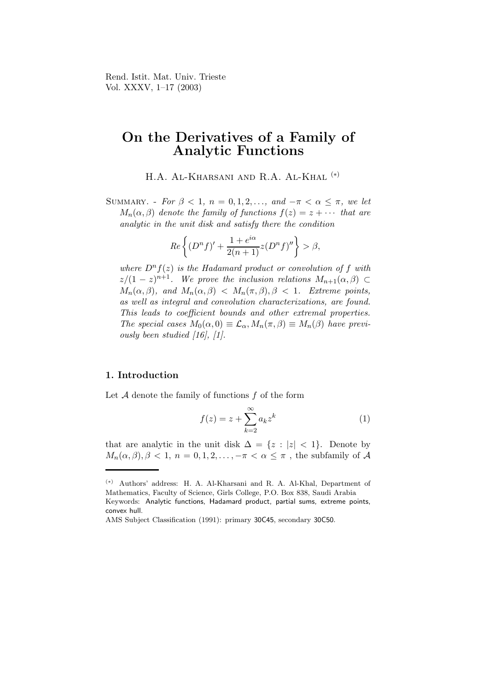Rend. Istit. Mat. Univ. Trieste Vol. XXXV, 1–17 (2003)

## On the Derivatives of a Family of Analytic Functions

H.A. Al-Kharsani and R.A. Al-Khal (∗)

SUMMARY. - For  $\beta < 1$ ,  $n = 0, 1, 2, \ldots$ , and  $-\pi < \alpha \leq \pi$ , we let  $M_n(\alpha, \beta)$  denote the family of functions  $f(z) = z + \cdots$  that are analytic in the unit disk and satisfy there the condition

$$
Re\left\{ (D^n f)' + \frac{1+e^{i\alpha}}{2(n+1)} z(D^n f)'' \right\} > \beta,
$$

where  $D^n f(z)$  is the Hadamard product or convolution of f with  $z/(1-z)^{n+1}$ . We prove the inclusion relations  $M_{n+1}(\alpha,\beta) \subset$  $M_n(\alpha, \beta)$ , and  $M_n(\alpha, \beta) < M_n(\pi, \beta)$ ,  $\beta < 1$ . Extreme points, as well as integral and convolution characterizations, are found. This leads to coefficient bounds and other extremal properties. The special cases  $M_0(\alpha, 0) \equiv \mathcal{L}_{\alpha}, M_n(\pi, \beta) \equiv M_n(\beta)$  have previously been studied [16], [1].

## 1. Introduction

Let  $A$  denote the family of functions  $f$  of the form

$$
f(z) = z + \sum_{k=2}^{\infty} a_k z^k
$$
 (1)

that are analytic in the unit disk  $\Delta = \{z : |z| < 1\}$ . Denote by  $M_n(\alpha, \beta), \beta < 1, n = 0, 1, 2, \ldots, -\pi < \alpha \leq \pi$ , the subfamily of A

<sup>(</sup>∗) Authors' address: H. A. Al-Kharsani and R. A. Al-Khal, Department of Mathematics, Faculty of Science, Girls College, P.O. Box 838, Saudi Arabia Keywords: Analytic functions, Hadamard product, partial sums, extreme points,

convex hull.

AMS Subject Classification (1991): primary 30C45, secondary 30C50.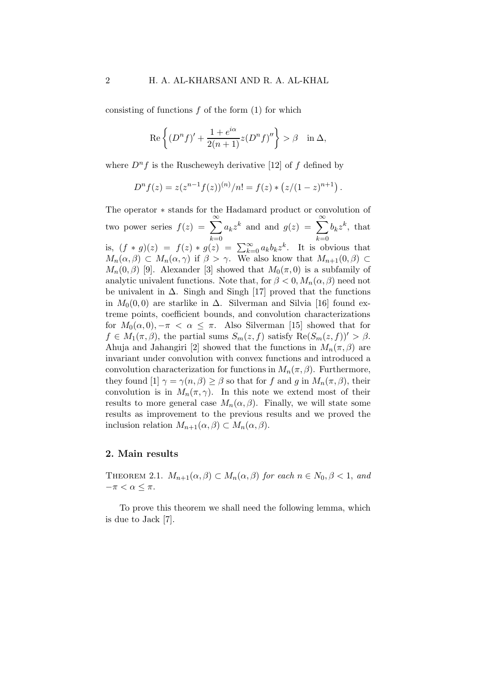consisting of functions  $f$  of the form  $(1)$  for which

$$
\operatorname{Re}\left\{(D^{n}f)' + \frac{1+e^{i\alpha}}{2(n+1)}z(D^{n}f)''\right\} > \beta \quad \text{in } \Delta,
$$

where  $D^n f$  is the Ruscheweyh derivative [12] of f defined by

$$
D^{n} f(z) = z(z^{n-1} f(z))^{(n)}/n! = f(z) * (z/(1-z)^{n+1}).
$$

The operator ∗ stands for the Hadamard product or convolution of two power series  $f(z) = \sum_{n=0}^{\infty}$  $_{k=0}$  $a_k z^k$  and and  $g(z) = \sum_{k=0}^{\infty}$  $k=0$  $b_k z^k$ , that is,  $(f * g)(z) = f(z) * g(z) = \sum_{k=0}^{\infty} a_k b_k z^k$ . It is obvious that  $M_n(\alpha, \beta) \subset M_n(\alpha, \gamma)$  if  $\beta > \gamma$ . We also know that  $M_{n+1}(0, \beta) \subset$  $M_n(0, \beta)$  [9]. Alexander [3] showed that  $M_0(\pi, 0)$  is a subfamily of analytic univalent functions. Note that, for  $\beta < 0$ ,  $M_n(\alpha, \beta)$  need not be univalent in  $\Delta$ . Singh and Singh [17] proved that the functions in  $M_0(0,0)$  are starlike in  $\Delta$ . Silverman and Silvia [16] found extreme points, coefficient bounds, and convolution characterizations for  $M_0(\alpha, 0), -\pi < \alpha \leq \pi$ . Also Silverman [15] showed that for  $f \in M_1(\pi, \beta)$ , the partial sums  $S_m(z, f)$  satisfy  $\text{Re}(S_m(z, f))' > \beta$ . Ahuja and Jahangiri [2] showed that the functions in  $M_n(\pi, \beta)$  are invariant under convolution with convex functions and introduced a convolution characterization for functions in  $M_n(\pi, \beta)$ . Furthermore, they found [1]  $\gamma = \gamma(n, \beta) \ge \beta$  so that for f and g in  $M_n(\pi, \beta)$ , their convolution is in  $M_n(\pi, \gamma)$ . In this note we extend most of their results to more general case  $M_n(\alpha, \beta)$ . Finally, we will state some results as improvement to the previous results and we proved the inclusion relation  $M_{n+1}(\alpha, \beta) \subset M_n(\alpha, \beta)$ .

## 2. Main results

THEOREM 2.1.  $M_{n+1}(\alpha, \beta) \subset M_n(\alpha, \beta)$  for each  $n \in N_0, \beta < 1$ , and  $-\pi < \alpha \leq \pi$ .

To prove this theorem we shall need the following lemma, which is due to Jack [7].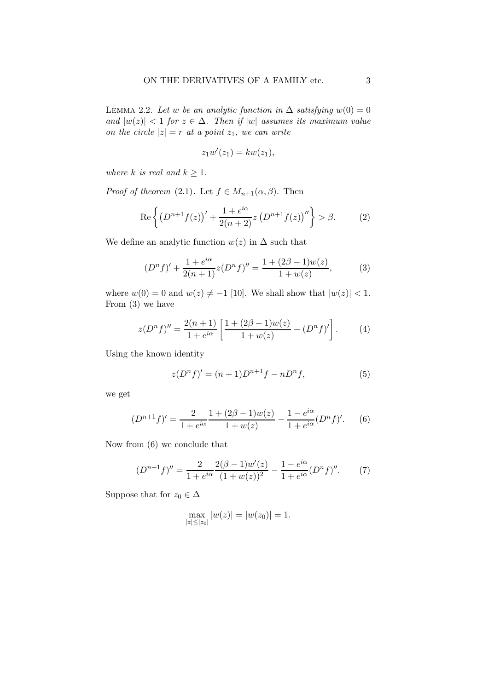LEMMA 2.2. Let w be an analytic function in  $\Delta$  satisfying  $w(0) = 0$ and  $|w(z)| < 1$  for  $z \in \Delta$ . Then if  $|w|$  assumes its maximum value on the circle  $|z| = r$  at a point  $z_1$ , we can write

$$
z_1w'(z_1) = kw(z_1),
$$

where k is real and  $k \geq 1$ .

*Proof of theorem* (2.1). Let  $f \in M_{n+1}(\alpha, \beta)$ . Then

Re 
$$
\left\{ (D^{n+1}f(z))' + \frac{1+e^{i\alpha}}{2(n+2)}z (D^{n+1}f(z))'' \right\} > \beta.
$$
 (2)

We define an analytic function  $w(z)$  in  $\Delta$  such that

$$
(Dn f)' + \frac{1 + e^{i\alpha}}{2(n+1)} z(Dn f)'' = \frac{1 + (2\beta - 1)w(z)}{1 + w(z)},
$$
(3)

where  $w(0) = 0$  and  $w(z) \neq -1$  [10]. We shall show that  $|w(z)| < 1$ . From (3) we have

$$
z(D^n f)'' = \frac{2(n+1)}{1+e^{i\alpha}} \left[ \frac{1+(2\beta-1)w(z)}{1+w(z)} - (D^n f)'\right].
$$
 (4)

Using the known identity

$$
z(D^{n} f)' = (n+1)D^{n+1} f - nD^{n} f,
$$
\n(5)

we get

$$
(D^{n+1}f)' = \frac{2}{1+e^{i\alpha}} \frac{1+(2\beta-1)w(z)}{1+w(z)} - \frac{1-e^{i\alpha}}{1+e^{i\alpha}} (D^n f)'.
$$
 (6)

Now from (6) we conclude that

$$
(D^{n+1}f)'' = \frac{2}{1 + e^{i\alpha}} \frac{2(\beta - 1)w'(z)}{(1 + w(z))^2} - \frac{1 - e^{i\alpha}}{1 + e^{i\alpha}} (D^n f)''.
$$
 (7)

Suppose that for  $z_0 \in \Delta$ 

$$
\max_{|z| \leq |z_0|} |w(z)| = |w(z_0)| = 1.
$$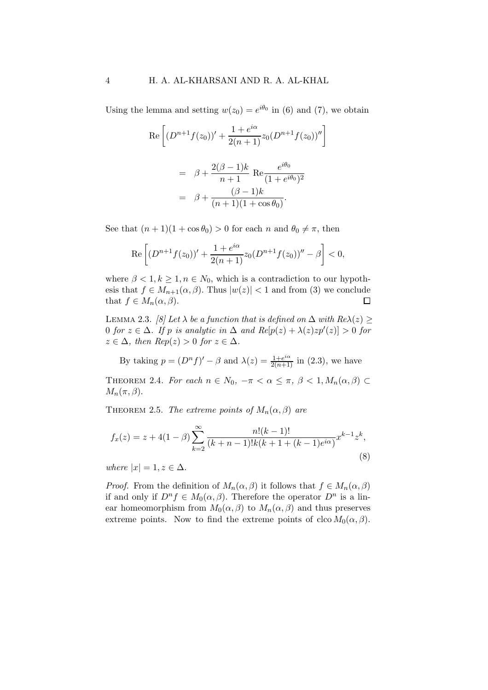Using the lemma and setting  $w(z_0) = e^{i\theta_0}$  in (6) and (7), we obtain

$$
\operatorname{Re}\left[ (D^{n+1}f(z_0))' + \frac{1+e^{i\alpha}}{2(n+1)}z_0(D^{n+1}f(z_0))'' \right]
$$

$$
= \beta + \frac{2(\beta-1)k}{n+1} \operatorname{Re}\frac{e^{i\theta_0}}{(1+e^{i\theta_0})^2}
$$

$$
= \beta + \frac{(\beta-1)k}{(n+1)(1+\cos\theta_0)}.
$$

See that  $(n+1)(1+\cos\theta_0) > 0$  for each n and  $\theta_0 \neq \pi$ , then

$$
\operatorname{Re}\left[ (D^{n+1}f(z_0))' + \frac{1+e^{i\alpha}}{2(n+1)}z_0(D^{n+1}f(z_0))'' - \beta \right] < 0,
$$

where  $\beta < 1, k \ge 1, n \in N_0$ , which is a contradiction to our hypothesis that  $f \in M_{n+1}(\alpha, \beta)$ . Thus  $|w(z)| < 1$  and from (3) we conclude that  $f \in M_n(\alpha, \beta)$ .  $\Box$ 

LEMMA 2.3. [8] Let  $\lambda$  be a function that is defined on  $\Delta$  with  $Re\lambda(z)$  > 0 for  $z \in \Delta$ . If p is analytic in  $\Delta$  and  $Re[p(z) + \lambda(z)zp'(z)] > 0$  for  $z \in \Delta$ , then  $Rep(z) > 0$  for  $z \in \Delta$ .

By taking  $p = (D^n f)' - \beta$  and  $\lambda(z) = \frac{1 + e^{i\alpha}}{2(n+1)}$  in (2.3), we have

THEOREM 2.4. For each  $n \in N_0$ ,  $-\pi < \alpha \leq \pi$ ,  $\beta < 1$ ,  $M_n(\alpha, \beta) \subset$  $M_n(\pi, \beta)$ .

THEOREM 2.5. The extreme points of  $M_n(\alpha, \beta)$  are

$$
f_x(z) = z + 4(1 - \beta) \sum_{k=2}^{\infty} \frac{n!(k-1)!}{(k+n-1)!k(k+1+(k-1)e^{i\alpha})} x^{k-1} z^k,
$$
\n(8)

where  $|x| = 1, z \in \Delta$ .

*Proof.* From the definition of  $M_n(\alpha, \beta)$  it follows that  $f \in M_n(\alpha, \beta)$ if and only if  $D^n f \in M_0(\alpha, \beta)$ . Therefore the operator  $D^n$  is a linear homeomorphism from  $M_0(\alpha, \beta)$  to  $M_n(\alpha, \beta)$  and thus preserves extreme points. Now to find the extreme points of clco  $M_0(\alpha, \beta)$ .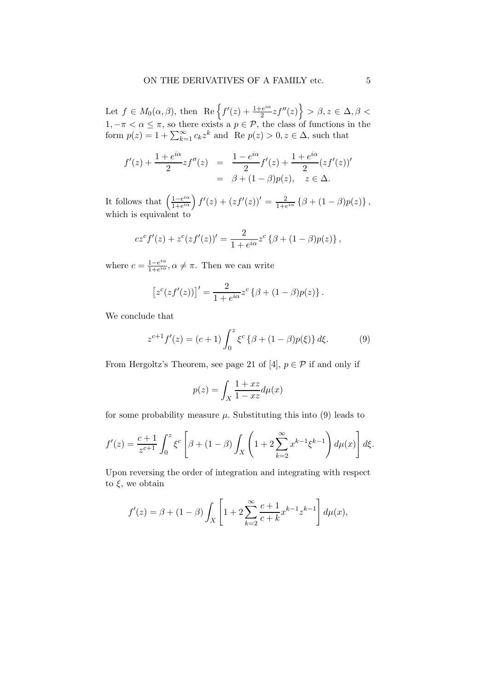Let  $f \in M_0(\alpha, \beta)$ , then  $\text{Re}\left\{f'(z) + \frac{1+e^{i\alpha}}{2}\right\}$  $\left\{\frac{e^{i\alpha}}{2}zf''(z)\right\} > \beta, z \in \Delta, \beta < 1$  $1, -\pi < \alpha \leq \pi$ , so there exists a  $p \in \mathcal{P}$ , the class of functions in the form  $p(z) = 1 + \sum_{k=1}^{\infty} c_k z^k$  and Re  $p(z) > 0, z \in \Delta$ , such that

$$
f'(z) + \frac{1 + e^{i\alpha}}{2}zf''(z) = \frac{1 - e^{i\alpha}}{2}f'(z) + \frac{1 + e^{i\alpha}}{2}(zf'(z))'
$$
  
=  $\beta + (1 - \beta)p(z), \quad z \in \Delta.$ 

It follows that  $\left(\frac{1-e^{i\alpha}}{1+e^{i\alpha}}\right)$  $\frac{1-e^{i\alpha}}{1+e^{i\alpha}}$   $\int f'(z)+(zf'(z))'=\frac{2}{1+\epsilon}$  $\frac{2}{1+e^{i\alpha}}\left\{\beta+(1-\beta)p(z)\right\},\,$ which is equivalent to

$$
cz^{c} f'(z) + z^{c} (zf'(z))' = \frac{2}{1 + e^{i\alpha}} z^{c} \left\{ \beta + (1 - \beta)p(z) \right\},\,
$$

where  $c = \frac{1-e^{i\alpha}}{1+e^{i\alpha}}$  $\frac{1-e^{i\alpha}}{1+e^{i\alpha}}, \alpha \neq \pi$ . Then we can write

$$
[z^{c}(zf'(z))]' = \frac{2}{1+e^{i\alpha}}z^{c}\left\{\beta+(1-\beta)p(z)\right\}.
$$

We conclude that

$$
z^{c+1}f'(z) = (c+1)\int_0^z \xi^c \left\{\beta + (1-\beta)p(\xi)\right\} d\xi.
$$
 (9)

From Hergoltz's Theorem, see page 21 of [4],  $p \in \mathcal{P}$  if and only if

$$
p(z) = \int_X \frac{1+xz}{1-xz} d\mu(x)
$$

for some probability measure  $\mu$ . Substituting this into (9) leads to

$$
f'(z) = \frac{c+1}{z^{c+1}} \int_0^z \xi^c \left[ \beta + (1-\beta) \int_X \left( 1 + 2 \sum_{k=2}^\infty x^{k-1} \xi^{k-1} \right) d\mu(x) \right] d\xi.
$$

Upon reversing the order of integration and integrating with respect to  $\xi$ , we obtain

$$
f'(z) = \beta + (1 - \beta) \int_X \left[ 1 + 2 \sum_{k=2}^{\infty} \frac{c+1}{c+k} x^{k-1} z^{k-1} \right] d\mu(x),
$$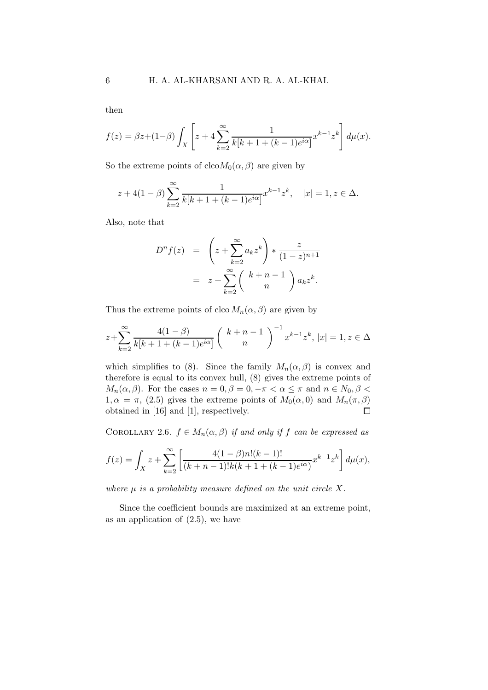then

$$
f(z) = \beta z + (1 - \beta) \int_X \left[ z + 4 \sum_{k=2}^{\infty} \frac{1}{k[k+1+(k-1)e^{i\alpha}]} x^{k-1} z^k \right] d\mu(x).
$$

So the extreme points of  $c_{\text{lco}}M_0(\alpha, \beta)$  are given by

$$
z + 4(1 - \beta) \sum_{k=2}^{\infty} \frac{1}{k[k+1+(k-1)e^{i\alpha}]} x^{k-1} z^k, \quad |x| = 1, z \in \Delta.
$$

Also, note that

$$
Dn f(z) = \left(z + \sum_{k=2}^{\infty} a_k z^k\right) * \frac{z}{(1-z)^{n+1}}
$$
  
=  $z + \sum_{k=2}^{\infty} \left(\begin{array}{c}k+n-1\\n\end{array}\right) a_k z^k.$ 

Thus the extreme points of clco  $M_n(\alpha, \beta)$  are given by

$$
z + \sum_{k=2}^{\infty} \frac{4(1-\beta)}{k[k+1+(k-1)e^{i\alpha}]} \left( k+n-1 \atop n \right)^{-1} x^{k-1} z^k, |x| = 1, z \in \Delta
$$

which simplifies to (8). Since the family  $M_n(\alpha, \beta)$  is convex and therefore is equal to its convex hull, (8) gives the extreme points of  $M_n(\alpha, \beta)$ . For the cases  $n = 0, \beta = 0, -\pi < \alpha \leq \pi$  and  $n \in N_0, \beta <$  $1, \alpha = \pi$ , (2.5) gives the extreme points of  $M_0(\alpha, 0)$  and  $M_n(\pi, \beta)$ obtained in [16] and [1], respectively.  $\Box$ 

COROLLARY 2.6.  $f \in M_n(\alpha, \beta)$  if and only if f can be expressed as

$$
f(z) = \int_X z + \sum_{k=2}^{\infty} \left[ \frac{4(1-\beta)n!(k-1)!}{(k+n-1)!k(k+1+(k-1)e^{i\alpha})} x^{k-1} z^k \right] d\mu(x),
$$

where  $\mu$  is a probability measure defined on the unit circle X.

Since the coefficient bounds are maximized at an extreme point, as an application of  $(2.5)$ , we have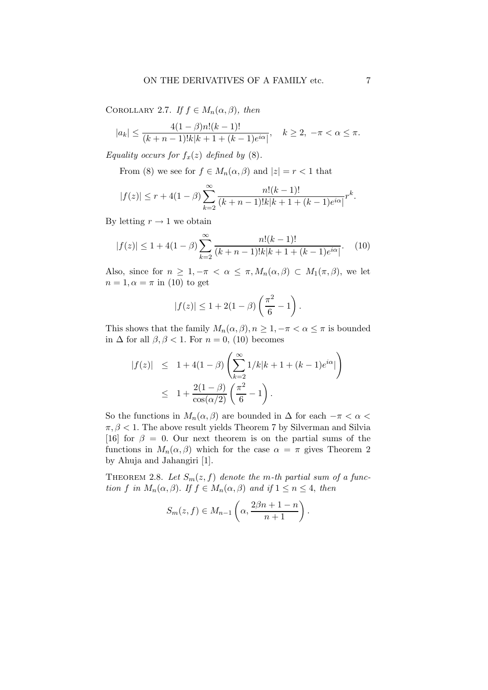COROLLARY 2.7. If  $f \in M_n(\alpha, \beta)$ , then

$$
|a_k| \le \frac{4(1-\beta)n!(k-1)!}{(k+n-1)!k|k+1+(k-1)e^{i\alpha}|}, \quad k \ge 2, \ -\pi < \alpha \le \pi.
$$

Equality occurs for  $f_x(z)$  defined by (8).

From (8) we see for  $f \in M_n(\alpha, \beta)$  and  $|z| = r < 1$  that

$$
|f(z)| \le r + 4(1 - \beta) \sum_{k=2}^{\infty} \frac{n!(k-1)!}{(k+n-1)!k|k+1+(k-1)e^{i\alpha}|} r^k.
$$

By letting  $r \to 1$  we obtain

$$
|f(z)| \le 1 + 4(1 - \beta) \sum_{k=2}^{\infty} \frac{n!(k-1)!}{(k+n-1)!k|k+1+(k-1)e^{i\alpha}|}. \tag{10}
$$

Also, since for  $n \geq 1, -\pi < \alpha \leq \pi, M_n(\alpha, \beta) \subset M_1(\pi, \beta)$ , we let  $n = 1, \alpha = \pi$  in (10) to get

$$
|f(z)| \le 1 + 2(1 - \beta) \left(\frac{\pi^2}{6} - 1\right).
$$

This shows that the family  $M_n(\alpha, \beta), n \geq 1, -\pi < \alpha \leq \pi$  is bounded in  $\Delta$  for all  $\beta, \beta < 1$ . For  $n = 0$ , (10) becomes

$$
|f(z)|
$$
  $\leq 1 + 4(1 - \beta) \left( \sum_{k=2}^{\infty} 1/k|k+1+(k-1)e^{i\alpha}| \right)$   
 $\leq 1 + \frac{2(1-\beta)}{\cos(\alpha/2)} \left( \frac{\pi^2}{6} - 1 \right).$ 

So the functions in  $M_n(\alpha, \beta)$  are bounded in  $\Delta$  for each  $-\pi < \alpha <$  $\pi, \beta < 1$ . The above result yields Theorem 7 by Silverman and Silvia [16] for  $\beta = 0$ . Our next theorem is on the partial sums of the functions in  $M_n(\alpha, \beta)$  which for the case  $\alpha = \pi$  gives Theorem 2 by Ahuja and Jahangiri [1].

THEOREM 2.8. Let  $S_m(z, f)$  denote the m-th partial sum of a function f in  $M_n(\alpha, \beta)$ . If  $f \in M_n(\alpha, \beta)$  and if  $1 \leq n \leq 4$ , then

$$
S_m(z, f) \in M_{n-1}\left(\alpha, \frac{2\beta n + 1 - n}{n+1}\right).
$$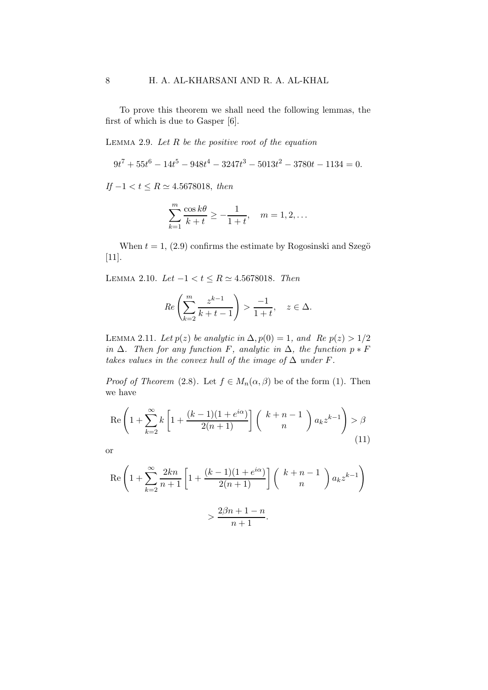To prove this theorem we shall need the following lemmas, the first of which is due to Gasper [6].

LEMMA 2.9. Let  $R$  be the positive root of the equation

 $9t^7 + 55t^6 - 14t^5 - 948t^4 - 3247t^3 - 5013t^2 - 3780t - 1134 = 0.$ 

If  $-1 < t \le R \simeq 4.5678018$ , then

$$
\sum_{k=1}^{m} \frac{\cos k\theta}{k+t} \ge -\frac{1}{1+t}, \quad m=1,2,\ldots
$$

When  $t = 1$ , (2.9) confirms the estimate by Rogosinski and Szegö [11].

LEMMA 2.10. Let  $-1 < t \le R$  ≃ 4.5678018. Then

$$
Re\left(\sum_{k=2}^{m} \frac{z^{k-1}}{k+t-1}\right) > \frac{-1}{1+t}, \quad z \in \Delta.
$$

LEMMA 2.11. Let  $p(z)$  be analytic in  $\Delta$ ,  $p(0) = 1$ , and Re  $p(z) > 1/2$ in  $\Delta$ . Then for any function F, analytic in  $\Delta$ , the function  $p * F$ takes values in the convex hull of the image of  $\Delta$  under F.

*Proof of Theorem* (2.8). Let  $f \in M_n(\alpha, \beta)$  be of the form (1). Then we have

$$
\operatorname{Re}\left(1+\sum_{k=2}^{\infty}k\left[1+\frac{(k-1)(1+e^{i\alpha})}{2(n+1)}\right]\binom{k+n-1}{n}a_kz^{k-1}\right) > \beta\tag{11}
$$

or

$$
\operatorname{Re}\left(1+\sum_{k=2}^{\infty}\frac{2kn}{n+1}\left[1+\frac{(k-1)(1+e^{i\alpha})}{2(n+1)}\right]\binom{k+n-1}{n}a_kz^{k-1}\right)
$$

$$
>\frac{2\beta n+1-n}{n+1}.
$$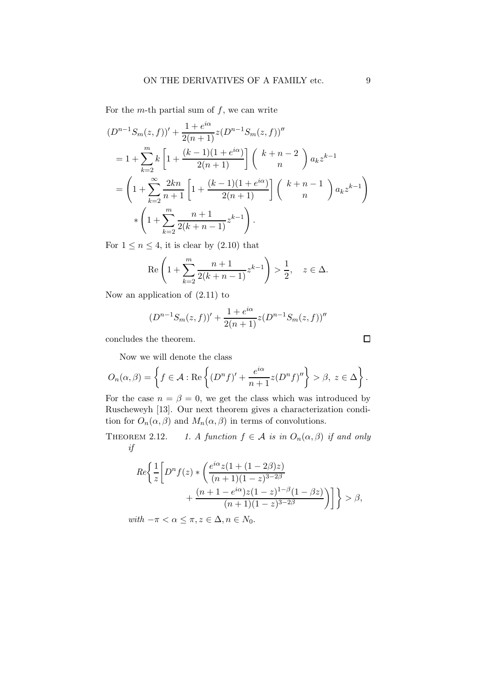For the m-th partial sum of  $f$ , we can write

$$
(D^{n-1}S_m(z,f))' + \frac{1+e^{i\alpha}}{2(n+1)}z(D^{n-1}S_m(z,f))''
$$
  
=  $1 + \sum_{k=2}^m k \left[1 + \frac{(k-1)(1+e^{i\alpha})}{2(n+1)}\right] \binom{k+n-2}{n} a_k z^{k-1}$   
=  $\left(1 + \sum_{k=2}^\infty \frac{2kn}{n+1} \left[1 + \frac{(k-1)(1+e^{i\alpha})}{2(n+1)}\right] \binom{k+n-1}{n} a_k z^{k-1}\right)$   

$$
*\left(1 + \sum_{k=2}^m \frac{n+1}{2(k+n-1)} z^{k-1}\right).
$$

For  $1 \le n \le 4$ , it is clear by  $(2.10)$  that

$$
\operatorname{Re}\left(1+\sum_{k=2}^{m} \frac{n+1}{2(k+n-1)} z^{k-1}\right) > \frac{1}{2}, \quad z \in \Delta.
$$

Now an application of (2.11) to

$$
(D^{n-1}S_m(z,f))' + \frac{1+e^{i\alpha}}{2(n+1)}z(D^{n-1}S_m(z,f))''
$$

concludes the theorem.

Now we will denote the class

$$
O_n(\alpha, \beta) = \left\{ f \in \mathcal{A} : \text{Re}\left\{ (D^n f)' + \frac{e^{i\alpha}}{n+1} z (D^n f)'' \right\} > \beta, \ z \in \Delta \right\}.
$$

For the case  $n = \beta = 0$ , we get the class which was introduced by Ruscheweyh [13]. Our next theorem gives a characterization condition for  $O_n(\alpha, \beta)$  and  $M_n(\alpha, \beta)$  in terms of convolutions.

THEOREM 2.12. 1. A function  $f \in \mathcal{A}$  is in  $O_n(\alpha, \beta)$  if and only if

$$
Re \left\{ \frac{1}{z} \left[ D^n f(z) * \left( \frac{e^{i\alpha} z (1 + (1 - 2\beta) z)}{(n + 1)(1 - z)^{3 - 2\beta}} + \frac{(n + 1 - e^{i\alpha}) z (1 - z)^{1 - \beta} (1 - \beta z)}{(n + 1)(1 - z)^{3 - 2\beta}} \right) \right] \right\} > \beta,
$$

with  $-\pi < \alpha \leq \pi, z \in \Delta, n \in N_0$ .

 $\Box$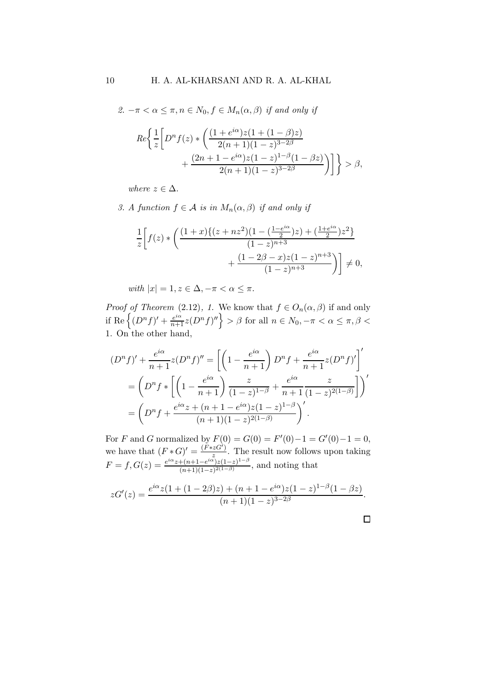2.  $-\pi < \alpha \leq \pi, n \in N_0, f \in M_n(\alpha, \beta)$  if and only if

$$
Re \left\{ \frac{1}{z} \left[ D^n f(z) * \left( \frac{(1 + e^{i\alpha})z(1 + (1 - \beta)z)}{2(n + 1)(1 - z)^{3 - 2\beta}} + \frac{(2n + 1 - e^{i\alpha})z(1 - z)^{1 - \beta}(1 - \beta z)}{2(n + 1)(1 - z)^{3 - 2\beta}} \right) \right] \right\} > \beta,
$$

where  $z \in \Delta$ .

3. A function  $f \in \mathcal{A}$  is in  $M_n(\alpha, \beta)$  if and only if

$$
\frac{1}{z} \left[ f(z) * \left( \frac{(1+x)\{(z+nz^2)(1-(\frac{1-e^{i\alpha}}{2})z) + (\frac{1+e^{i\alpha}}{2})z^2\}}{(1-z)^{n+3}} + \frac{(1-2\beta-x)z(1-z)^{n+3}}{(1-z)^{n+3}} \right) \right] \neq 0,
$$

with  $|x| = 1, z \in \Delta, -\pi < \alpha \leq \pi$ .

*Proof of Theorem* (2.12), 1. We know that  $f \in O_n(\alpha, \beta)$  if and only if Re  $\left\{(D^n f)' + \frac{e^{i\alpha}}{n+1} z(D^n f)''\right\} > \beta$  for all  $n \in N_0, -\pi < \alpha \leq \pi, \beta <$ 1. On the other hand,

$$
(D^n f)' + \frac{e^{i\alpha}}{n+1} z(D^n f)'' = \left[ \left( 1 - \frac{e^{i\alpha}}{n+1} \right) D^n f + \frac{e^{i\alpha}}{n+1} z(D^n f)' \right]'
$$
  
= 
$$
\left( D^n f * \left[ \left( 1 - \frac{e^{i\alpha}}{n+1} \right) \frac{z}{(1-z)^{1-\beta}} + \frac{e^{i\alpha}}{n+1} \frac{z}{(1-z)^{2(1-\beta)}} \right] \right)'
$$
  
= 
$$
\left( D^n f + \frac{e^{i\alpha} z + (n+1-e^{i\alpha}) z (1-z)^{1-\beta}}{(n+1)(1-z)^{2(1-\beta)}} \right)'
$$

For F and G normalized by  $F(0) = G(0) = F'(0) - 1 = G'(0) - 1 = 0$ , we have that  $(F * G)' = \frac{(\tilde{F} * z \tilde{G})}{z}$  $\frac{zG}{z}$ . The result now follows upon taking  $F = f, G(z) = \frac{e^{i\alpha}z + (n+1-e^{i\alpha})z(1-z)^{1-\beta}}{(n+1)(1-z)(1-\beta)}$  $\frac{\left(\frac{n+1-e^{-\frac{1}{2}}\right)\left(1-z\right)}{n+1\right)\left(1-z\right)^{2\left(1-\beta\right)}}$ , and noting that

$$
zG'(z) = \frac{e^{i\alpha}z(1 + (1 - 2\beta)z) + (n + 1 - e^{i\alpha})z(1 - z)^{1 - \beta}(1 - \beta z)}{(n + 1)(1 - z)^{3 - 2\beta}}.
$$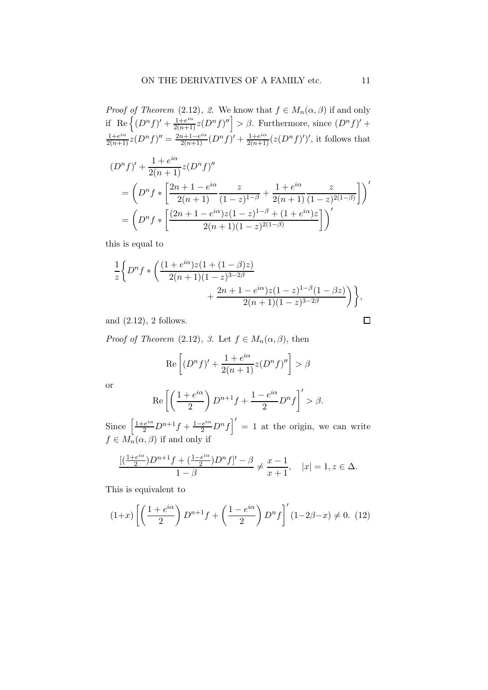*Proof of Theorem* (2.12), 2. We know that  $f \in M_n(\alpha, \beta)$  if and only if Re $\left\{ (D^n f)' + \frac{1+e^{i\alpha}}{2(n+1)}z(D^n f)'' \right\} > \beta$ . Furthermore, since  $(D^n f)'$  +  $\frac{1+e^{i\alpha}}{2(n+1)}z(D^nf)''=\frac{2n+1-e^{i\alpha}}{2(n+1)}(D^nf)' + \frac{1+e^{i\alpha}}{2(n+1)}(z(D^nf)')',$  it follows that

$$
(Dn f)' + \frac{1 + e^{i\alpha}}{2(n+1)} z (Dn f)''
$$
  
=  $\left(D^n f * \left[\frac{2n+1 - e^{i\alpha}}{2(n+1)} \frac{z}{(1-z)^{1-\beta}} + \frac{1 + e^{i\alpha}}{2(n+1)} \frac{z}{(1-z)^{2(1-\beta)}}\right]\right)'$   
=  $\left(D^n f * \left[\frac{(2n+1 - e^{i\alpha})z(1-z)^{1-\beta} + (1 + e^{i\alpha})z}{2(n+1)(1-z)^{2(1-\beta)}}\right]\right)'$ 

this is equal to

$$
\frac{1}{z} \Big\{ D^n f * \left( \frac{(1+e^{i\alpha})z(1+(1-\beta)z)}{2(n+1)(1-z)^{3-2\beta}} + \frac{2n+1-e^{i\alpha})z(1-z)^{1-\beta}(1-\beta z)}{2(n+1)(1-z)^{3-2\beta}} \right) \Big\},
$$

and (2.12), 2 follows.

*Proof of Theorem* (2.12), 3. Let  $f \in M_n(\alpha, \beta)$ , then

$$
\operatorname{Re}\left[ (D^n f)' + \frac{1 + e^{i\alpha}}{2(n+1)} z (D^n f)'' \right] > \beta
$$

or

$$
\operatorname{Re}\left[\left(\frac{1+e^{i\alpha}}{2}\right)D^{n+1}f+\frac{1-e^{i\alpha}}{2}D^nf\right]'>\beta.
$$

Since  $\left[\frac{1+e^{i\alpha}}{2}D^{n+1}f + \frac{1-e^{i\alpha}}{2}D^{n}f\right]' = 1$  at the origin, we can write  $f \in M_n(\alpha, \beta)$  if and only if

$$
\frac{[(\frac{1+e^{i\alpha}}{2})D^{n+1}f + (\frac{1-e^{i\alpha}}{2})D^nf]' - \beta}{1-\beta} \neq \frac{x-1}{x+1}, \quad |x| = 1, z \in \Delta.
$$

This is equivalent to

$$
(1+x)\left[\left(\frac{1+e^{i\alpha}}{2}\right)D^{n+1}f+\left(\frac{1-e^{i\alpha}}{2}\right)D^{n}f\right]'(1-2\beta-x)\neq 0.\tag{12}
$$

 $\Box$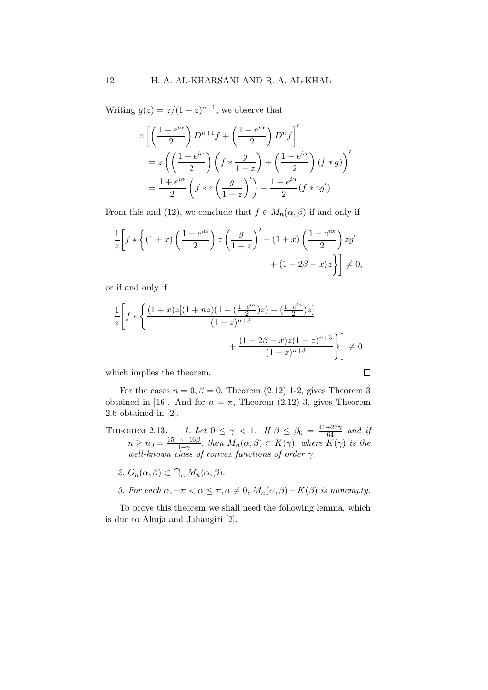Writing  $g(z) = z/(1-z)^{n+1}$ , we observe that

$$
z \left[ \left( \frac{1+e^{i\alpha}}{2} \right) D^{n+1} f + \left( \frac{1-e^{i\alpha}}{2} \right) D^n f \right]'
$$
  
=  $z \left( \left( \frac{1+e^{i\alpha}}{2} \right) \left( f * \frac{g}{1-z} \right) + \left( \frac{1-e^{i\alpha}}{2} \right) (f * g) \right)'$   
=  $\frac{1+e^{i\alpha}}{2} \left( f * z \left( \frac{g}{1-z} \right)' \right) + \frac{1-e^{i\alpha}}{2} (f * zg').$ 

From this and (12), we conclude that  $f \in M_n(\alpha, \beta)$  if and only if

$$
\frac{1}{z} \left[ f * \left\{ (1+x) \left( \frac{1+e^{i\alpha}}{2} \right) z \left( \frac{g}{1-z} \right)' + (1+x) \left( \frac{1-e^{i\alpha}}{2} \right) zg' + (1-2\beta-x)z \right\} \right] \neq 0,
$$

or if and only if

$$
\frac{1}{z} \left[ f * \left\{ \frac{(1+x)z[(1+nz)(1-(\frac{1-e^{i\alpha}}{2})z) + (\frac{1+e^{i\alpha}}{2})z]}{(1-z)^{n+3}} + \frac{(1-2\beta-x)z(1-z)^{n+3}}{(1-z)^{n+3}} \right\} \right] \neq 0
$$

which implies the theorem.

For the cases  $n = 0, \beta = 0$ , Theorem (2.12) 1-2, gives Theorem 3 obtained in [16]. And for  $\alpha = \pi$ , Theorem (2.12) 3, gives Theorem 2.6 obtained in [2].

THEOREM 2.13. 1. Let  $0 \leq \gamma < 1$ . If  $\beta \leq \beta_0 = \frac{41+23\gamma}{64}$  and if  $n \geq n_0 = \frac{15 + \gamma - 16\beta}{1 - \gamma}$  $\frac{-\gamma-16\beta}{1-\gamma}$ , then  $M_n(\alpha, \beta) \subset K(\gamma)$ , where  $K(\gamma)$  is the well-known class of convex functions of order  $\gamma$ .

$$
\mathcal{Q}.\,\,O_n(\alpha,\beta)\subset\bigcap_{\alpha}M_n(\alpha,\beta).
$$

3. For each  $\alpha, -\pi < \alpha \leq \pi, \alpha \neq 0, M_n(\alpha, \beta) - K(\beta)$  is nonempty.

To prove this theorem we shall need the following lemma, which is due to Ahuja and Jahangiri [2].

$$
\qquad \qquad \Box
$$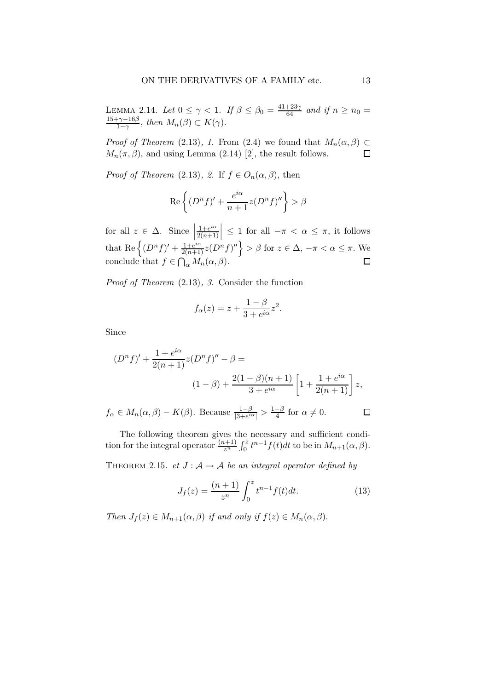LEMMA 2.14. Let  $0 \leq \gamma < 1$ . If  $\beta \leq \beta_0 = \frac{41+23\gamma}{64}$  and if  $n \geq n_0 =$  $15+\gamma-16\beta$  $\frac{\gamma-16\beta}{1-\gamma}$ , then  $M_n(\beta) \subset K(\gamma)$ .

*Proof of Theorem* (2.13), 1. From (2.4) we found that  $M_n(\alpha, \beta) \subset$  $M_n(\pi, \beta)$ , and using Lemma (2.14) [2], the result follows.  $\Box$ 

*Proof of Theorem* (2.13), 2. If  $f \in O_n(\alpha, \beta)$ , then

$$
\operatorname{Re}\left\{(D^n f)' + \frac{e^{i\alpha}}{n+1}z(D^n f)''\right\} > \beta
$$

for all  $z \in \Delta$ . Since  $1+e^{i\alpha}$  $\left|\frac{1+e^{i\alpha}}{2(n+1)}\right| \leq 1$  for all  $-\pi < \alpha \leq \pi$ , it follows that Re  $\left\{ (D^n f)' + \frac{1+e^{i\alpha}}{2(n+1)} z(D^n f)'' \right\} > \beta$  for  $z \in \Delta$ ,  $-\pi < \alpha \le \pi$ . We conclude that  $f \in \bigcap_{\alpha} M_n(\alpha, \beta)$ .

Proof of Theorem (2.13), 3. Consider the function

$$
f_{\alpha}(z) = z + \frac{1 - \beta}{3 + e^{i\alpha}} z^2.
$$

Since

$$
(Dn f)' + \frac{1 + e^{i\alpha}}{2(n+1)} z(Dn f)'' - \beta =
$$
  

$$
(1 - \beta) + \frac{2(1 - \beta)(n+1)}{3 + e^{i\alpha}} \left[ 1 + \frac{1 + e^{i\alpha}}{2(n+1)} \right] z,
$$
  

$$
f_{\alpha} \in M_n(\alpha, \beta) - K(\beta).
$$
 Because  $\frac{1 - \beta}{3 + e^{i\alpha}} > \frac{1 - \beta}{4}$  for  $\alpha \neq 0$ .

The following theorem gives the necessary and sufficient condition for the integral operator  $\frac{(n+1)}{z^n} \int_0^z t^{n-1} f(t) dt$  to be in  $M_{n+1}(\alpha, \beta)$ .

THEOREM 2.15. et  $J : A \rightarrow A$  be an integral operator defined by

$$
J_f(z) = \frac{(n+1)}{z^n} \int_0^z t^{n-1} f(t) dt.
$$
 (13)

Then  $J_f(z) \in M_{n+1}(\alpha, \beta)$  if and only if  $f(z) \in M_n(\alpha, \beta)$ .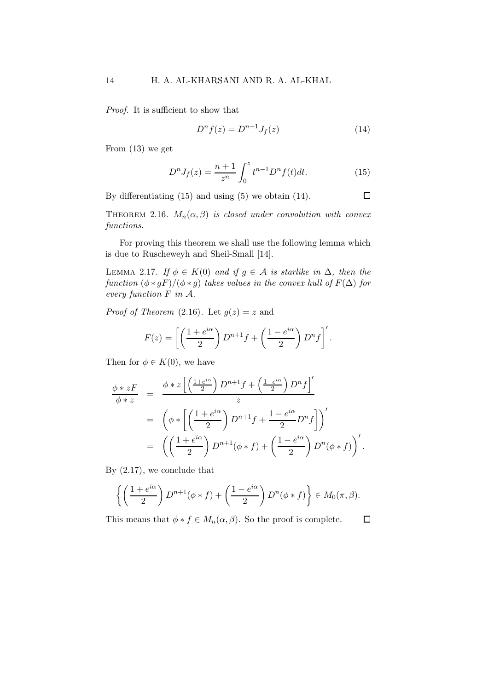Proof. It is sufficient to show that

$$
D^{n} f(z) = D^{n+1} J_f(z)
$$
 (14)

 $\Box$ 

From (13) we get

$$
D^{n}J_{f}(z) = \frac{n+1}{z^{n}} \int_{0}^{z} t^{n-1} D^{n} f(t) dt.
$$
 (15)

By differentiating (15) and using (5) we obtain (14).

THEOREM 2.16.  $M_n(\alpha, \beta)$  is closed under convolution with convex functions.

For proving this theorem we shall use the following lemma which is due to Ruscheweyh and Sheil-Small [14].

LEMMA 2.17. If  $\phi \in K(0)$  and if  $g \in A$  is starlike in  $\Delta$ , then the function  $(\phi * gF)/(\phi * g)$  takes values in the convex hull of  $F(\Delta)$  for every function F in A.

*Proof of Theorem* (2.16). Let  $g(z) = z$  and

$$
F(z) = \left[ \left( \frac{1 + e^{i\alpha}}{2} \right) D^{n+1} f + \left( \frac{1 - e^{i\alpha}}{2} \right) D^n f \right]'.
$$

Then for  $\phi \in K(0)$ , we have

$$
\frac{\phi * zF}{\phi * z} = \frac{\phi * z \left[ \left( \frac{1 + e^{i\alpha}}{2} \right) D^{n+1} f + \left( \frac{1 - e^{i\alpha}}{2} \right) D^n f \right]'}{z}
$$
\n
$$
= \left( \phi * \left[ \left( \frac{1 + e^{i\alpha}}{2} \right) D^{n+1} f + \frac{1 - e^{i\alpha}}{2} D^n f \right] \right)'
$$
\n
$$
= \left( \left( \frac{1 + e^{i\alpha}}{2} \right) D^{n+1} (\phi * f) + \left( \frac{1 - e^{i\alpha}}{2} \right) D^n (\phi * f) \right)'
$$

By (2.17), we conclude that

$$
\left\{ \left( \frac{1+e^{i\alpha}}{2} \right) D^{n+1}(\phi * f) + \left( \frac{1-e^{i\alpha}}{2} \right) D^n(\phi * f) \right\} \in M_0(\pi, \beta).
$$

This means that  $\phi * f \in M_n(\alpha, \beta)$ . So the proof is complete.  $\Box$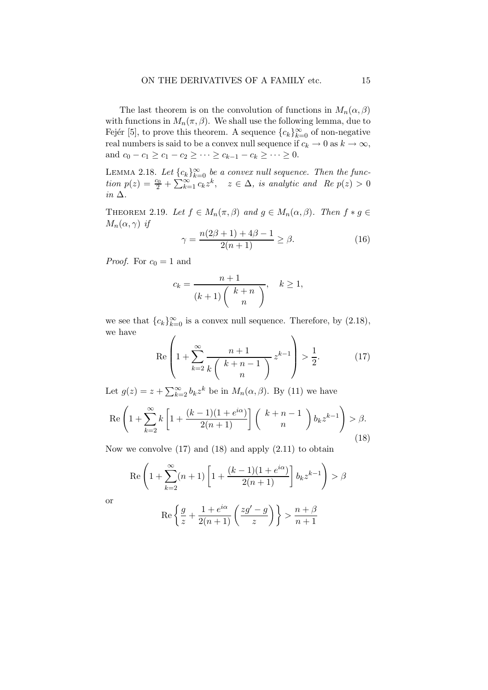The last theorem is on the convolution of functions in  $M_n(\alpha, \beta)$ with functions in  $M_n(\pi, \beta)$ . We shall use the following lemma, due to Fejér [5], to prove this theorem. A sequence  ${c_k}_{k=0}^{\infty}$  of non-negative real numbers is said to be a convex null sequence if  $c_k \to 0$  as  $k \to \infty$ , and  $c_0 - c_1 \ge c_1 - c_2 \ge \cdots \ge c_{k-1} - c_k \ge \cdots \ge 0$ .

LEMMA 2.18. Let  ${c_k}_{k=0}^{\infty}$  be a convex null sequence. Then the function  $p(z) = \frac{c_0}{2} + \sum_{k=1}^{\infty} c_k z^k$ ,  $z \in \Delta$ , is analytic and Re  $p(z) > 0$ in ∆.

THEOREM 2.19. Let  $f \in M_n(\pi, \beta)$  and  $g \in M_n(\alpha, \beta)$ . Then  $f * g \in$  $M_n(\alpha, \gamma)$  if

$$
\gamma = \frac{n(2\beta + 1) + 4\beta - 1}{2(n+1)} \ge \beta.
$$
 (16)

*Proof.* For  $c_0 = 1$  and

$$
c_k = \frac{n+1}{(k+1)\binom{k+n}{n}}, \quad k \ge 1,
$$

we see that  ${c_k}_{k=0}^{\infty}$  is a convex null sequence. Therefore, by  $(2.18)$ , we have  $\overline{1}$ 

$$
\operatorname{Re}\left(1+\sum_{k=2}^{\infty}\frac{n+1}{k\binom{k+n-1}{n}}z^{k-1}\right) > \frac{1}{2}.\tag{17}
$$

Let  $g(z) = z + \sum_{k=2}^{\infty} b_k z^k$  be in  $M_n(\alpha, \beta)$ . By (11) we have

$$
\operatorname{Re}\left(1+\sum_{k=2}^{\infty}k\left[1+\frac{(k-1)(1+e^{i\alpha})}{2(n+1)}\right]\binom{k+n-1}{n}b_kz^{k-1}\right) > \beta. \tag{18}
$$

Now we convolve  $(17)$  and  $(18)$  and apply  $(2.11)$  to obtain

$$
\operatorname{Re}\left(1+\sum_{k=2}^{\infty}(n+1)\left[1+\frac{(k-1)(1+e^{i\alpha})}{2(n+1)}\right]b_kz^{k-1}\right) > \beta
$$

$$
\operatorname{Re}\left\{\frac{g}{z}+\frac{1+e^{i\alpha}}{2(z-1)}\left(\frac{zg'-g}{z}\right)\right\} > \frac{n+\beta}{2}
$$

or

$$
\operatorname{Re}\left\{\frac{g}{z}+\frac{1+e^{i\alpha}}{2(n+1)}\left(\frac{zg'-g}{z}\right)\right\} > \frac{n+\beta}{n+1}
$$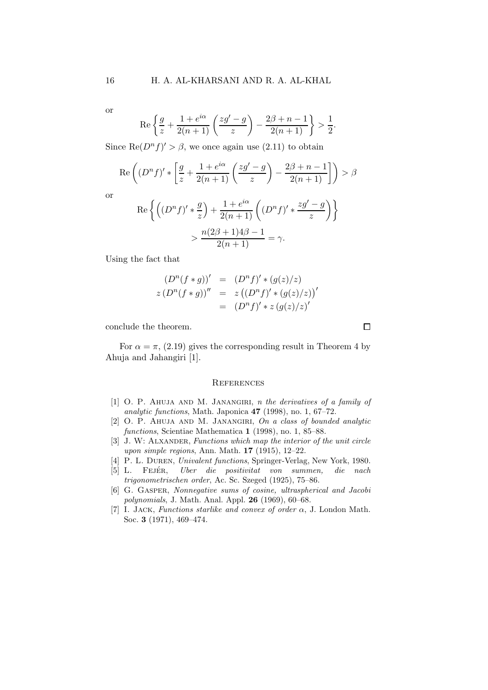or

$$
\operatorname{Re}\left\{\frac{g}{z} + \frac{1+e^{i\alpha}}{2(n+1)}\left(\frac{zg' - g}{z}\right) - \frac{2\beta + n - 1}{2(n+1)}\right\} > \frac{1}{2}.
$$

Since  $\text{Re}(D^n f)' > \beta$ , we once again use (2.11) to obtain

$$
\operatorname{Re}\left((D^{n} f)'\ast\left[\frac{g}{z}+\frac{1+e^{i\alpha}}{2(n+1)}\left(\frac{zg'-g}{z}\right)-\frac{2\beta+n-1}{2(n+1)}\right]\right)>\beta
$$

or

$$
\operatorname{Re}\left\{ \left( (D^n f)' * \frac{g}{z} \right) + \frac{1 + e^{i\alpha}}{2(n+1)} \left( (D^n f)' * \frac{zg' - g}{z} \right) \right\}
$$

$$
> \frac{n(2\beta + 1)4\beta - 1}{2(n+1)} = \gamma.
$$

Using the fact that

$$
(D^{n}(f * g))' = (D^{n}f)' * (g(z)/z)
$$
  
\n
$$
z (D^{n}(f * g))'' = z ((D^{n}f)' * (g(z)/z))'
$$
  
\n
$$
= (D^{n}f)' * z (g(z)/z)'
$$

conclude the theorem.

For  $\alpha = \pi$ , (2.19) gives the corresponding result in Theorem 4 by Ahuja and Jahangiri [1].

## **REFERENCES**

- [1] O. P. AHUJA AND M. JANANGIRI, n the derivatives of a family of analytic functions, Math. Japonica 47 (1998), no. 1, 67–72.
- [2] O. P. AHUJA AND M. JANANGIRI, On a class of bounded analytic functions, Scientiae Mathematica 1 (1998), no. 1, 85-88.
- [3] J. W: ALXANDER, Functions which map the interior of the unit circle upon simple regions, Ann. Math. 17 (1915), 12–22.
- [4] P. L. Duren, Univalent functions, Springer-Verlag, New York, 1980.
- [5] L. FEJÉR, Uber die positivitat von summen, die nach trigonometrischen order, Ac. Sc. Szeged (1925), 75–86.
- [6] G. Gasper, Nonnegative sums of cosine, ultraspherical and Jacobi polynomials, J. Math. Anal. Appl. 26 (1969), 60–68.
- [7] I. JACK, Functions starlike and convex of order  $\alpha$ , J. London Math. Soc. 3 (1971), 469–474.

 $\Box$